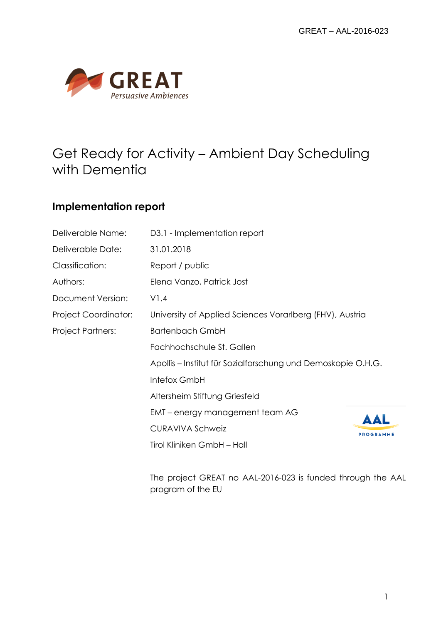

## Get Ready for Activity – Ambient Day Scheduling with Dementia

## **Implementation report**

| Deliverable Name:           | D3.1 - Implementation report                                 |                  |  |
|-----------------------------|--------------------------------------------------------------|------------------|--|
| Deliverable Date:           | 31.01.2018                                                   |                  |  |
| Classification:             | Report / public                                              |                  |  |
| Authors:                    | Elena Vanzo, Patrick Jost                                    |                  |  |
| Document Version:           | VI.4                                                         |                  |  |
| <b>Project Coordinator:</b> | University of Applied Sciences Vorarlberg (FHV), Austria     |                  |  |
| <b>Project Partners:</b>    | <b>Bartenbach GmbH</b>                                       |                  |  |
|                             | Fachhochschule St. Gallen                                    |                  |  |
|                             | Apollis – Institut für Sozialforschung und Demoskopie O.H.G. |                  |  |
|                             | Intefox GmbH                                                 |                  |  |
|                             | Altersheim Stiftung Griesfeld                                |                  |  |
|                             | EMT – energy management team AG                              | AAL              |  |
|                             | <b>CURAVIVA Schweiz</b>                                      | <b>PROGRAMME</b> |  |
|                             | Tirol Kliniken GmbH - Hall                                   |                  |  |

The project GREAT no AAL-2016-023 is funded through the AAL program of the EU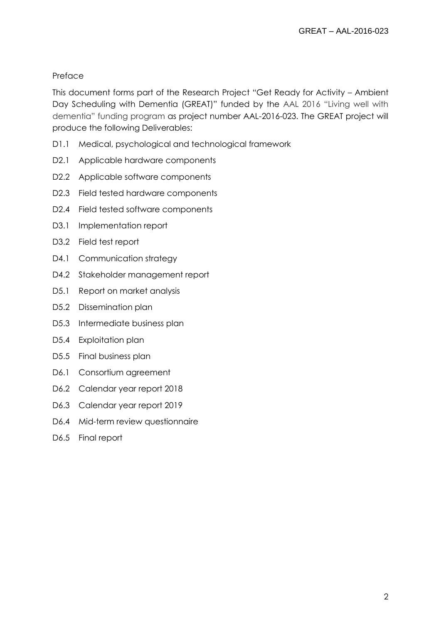### Preface

This document forms part of the Research Project "Get Ready for Activity – Ambient Day Scheduling with Dementia (GREAT)" funded by the AAL 2016 "Living well with dementia" funding program as project number AAL-2016-023. The GREAT project will produce the following Deliverables:

- D1.1 Medical, psychological and technological framework
- D2.1 Applicable hardware components
- D2.2 Applicable software components
- D2.3 Field tested hardware components
- D2.4 Field tested software components
- D3.1 Implementation report
- D3.2 Field test report
- D4.1 Communication strategy
- D4.2 Stakeholder management report
- D5.1 Report on market analysis
- D5.2 Dissemination plan
- D5.3 Intermediate business plan
- D5.4 Exploitation plan
- D5.5 Final business plan
- D6.1 Consortium agreement
- D6.2 Calendar year report 2018
- D6.3 Calendar year report 2019
- D6.4 Mid-term review questionnaire
- D6.5 Final report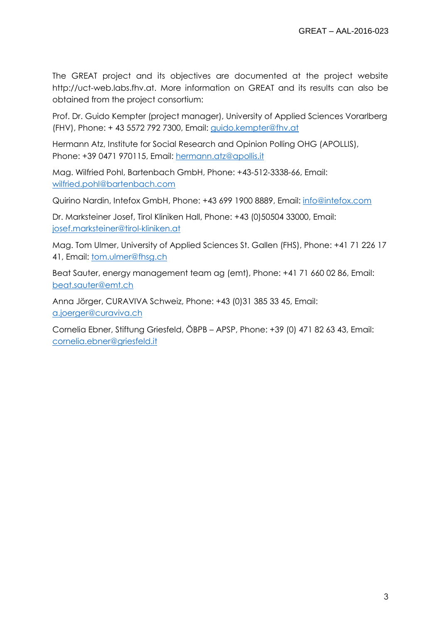The GREAT project and its objectives are documented at the project website http://uct-web.labs.fhv.at. More information on GREAT and its results can also be obtained from the project consortium:

Prof. Dr. Guido Kempter (project manager), University of Applied Sciences Vorarlberg (FHV), Phone: + 43 5572 792 7300, Email: [guido.kempter@fhv.at](mailto:guido.kempter@fhv.at)

Hermann Atz, Institute for Social Research and Opinion Polling OHG (APOLLIS), Phone: +39 0471 970115, Email: [hermann.atz@apollis.it](mailto:hermann.atz@apollis.it)

Mag. Wilfried Pohl, Bartenbach GmbH, Phone: +43-512-3338-66, Email: [wilfried.pohl@bartenbach.com](mailto:wilfried.pohl@bartenbach.com)

Quirino Nardin, Intefox GmbH, Phone: +43 699 1900 8889, Email: [info@intefox.com](mailto:info@intefox.com)

Dr. Marksteiner Josef, Tirol Kliniken Hall, Phone: +43 (0)50504 33000, Email: [josef.marksteiner@tirol-kliniken.at](mailto:josef.marksteiner@tirol-kliniken.at)

Mag. Tom Ulmer, University of Applied Sciences St. Gallen (FHS), Phone: +41 71 226 17 41, Email: [tom.ulmer@fhsg.ch](mailto:tom.ulmer@fhsg.ch)

Beat Sauter, energy management team ag (emt), Phone: +41 71 660 02 86, Email: [beat.sauter@emt.ch](mailto:beat.sauter@emt.ch)

Anna Jörger, CURAVIVA Schweiz, Phone: +43 (0)31 385 33 45, Email: [a.joerger@curaviva.ch](mailto:a.joerger@curaviva.ch)

Cornelia Ebner, Stiftung Griesfeld, ÖBPB – APSP, Phone: +39 (0) 471 82 63 43, Email: [cornelia.ebner@griesfeld.it](mailto:cornelia.ebner@griesfeld.it)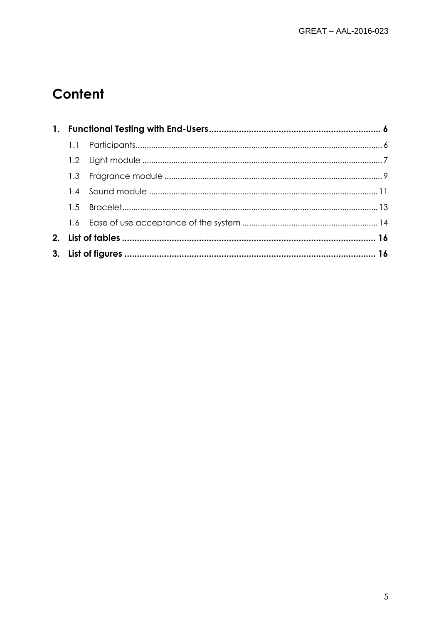# Content

| 1. |  |  |  |
|----|--|--|--|
|    |  |  |  |
|    |  |  |  |
|    |  |  |  |
|    |  |  |  |
|    |  |  |  |
|    |  |  |  |
| 2. |  |  |  |
|    |  |  |  |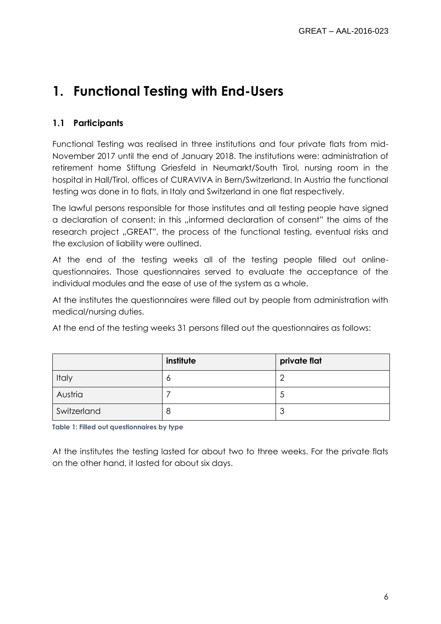## <span id="page-5-0"></span>**1. Functional Testing with End-Users**

## <span id="page-5-1"></span>**1.1 Participants**

Functional Testing was realised in three institutions and four private flats from mid-November 2017 until the end of January 2018. The institutions were: administration of retirement home Stiftung Griesfeld in Neumarkt/South Tirol, nursing room in the hospital in Hall/Tirol, offices of CURAVIVA in Bern/Switzerland. In Austria the functional testing was done in to flats, in Italy and Switzerland in one flat respectively.

The lawful persons responsible for those institutes and all testing people have signed a declaration of consent; in this "informed declaration of consent" the aims of the research project "GREAT", the process of the functional testing, eventual risks and the exclusion of liability were outlined.

At the end of the testing weeks all of the testing people filled out onlinequestionnaires. Those questionnaires served to evaluate the acceptance of the individual modules and the ease of use of the system as a whole.

At the institutes the questionnaires were filled out by people from administration with medical/nursing duties.

At the end of the testing weeks 31 persons filled out the questionnaires as follows:

|             | institute | private flat |
|-------------|-----------|--------------|
| Italy       |           |              |
| Austria     |           | ◡            |
| Switzerland |           | ◡            |

**Table 1: Filled out questionnaires by type**

At the institutes the testing lasted for about two to three weeks. For the private flats on the other hand, it lasted for about six days.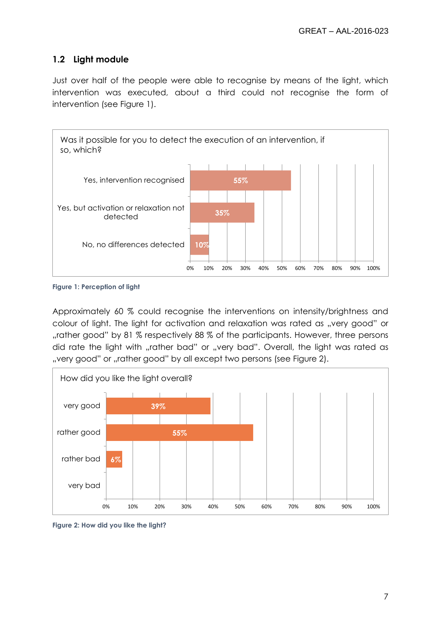## <span id="page-6-0"></span>**1.2 Light module**

Just over half of the people were able to recognise by means of the light, which intervention was executed, about a third could not recognise the form of intervention (see [Figure 1\)](#page-6-1).



<span id="page-6-1"></span>**Figure 1: Perception of light**

Approximately 60 % could recognise the interventions on intensity/brightness and colour of light. The light for activation and relaxation was rated as "very good" or "rather good" by 81 % respectively 88 % of the participants. However, three persons did rate the light with "rather bad" or "very bad". Overall, the light was rated as "very good" or "rather good" by all except two persons (see [Figure 2\)](#page-6-2).



<span id="page-6-2"></span>**Figure 2: How did you like the light?**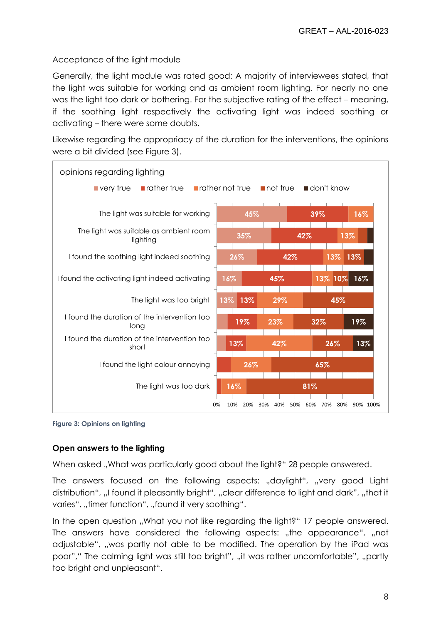### Acceptance of the light module

Generally, the light module was rated good: A majority of interviewees stated, that the light was suitable for working and as ambient room lighting. For nearly no one was the light too dark or bothering. For the subjective rating of the effect – meaning, if the soothing light respectively the activating light was indeed soothing or activating – there were some doubts.

Likewise regarding the appropriacy of the duration for the interventions, the opinions were a bit divided (see [Figure 3\)](#page-7-0).



<span id="page-7-0"></span>

### **Open answers to the lighting**

When asked "What was particularly good about the light?" 28 people answered.

The answers focused on the following aspects: "daylight", "very good Light distribution", "I found it pleasantly bright", "clear difference to light and dark", "that it varies", "timer function", "found it very soothing".

In the open question "What you not like regarding the light?" 17 people answered. The answers have considered the following aspects: "the appearance", "not adjustable", "was partly not able to be modified. The operation by the iPad was poor"," The calming light was still too bright", "it was rather uncomfortable", "partly too bright and unpleasant".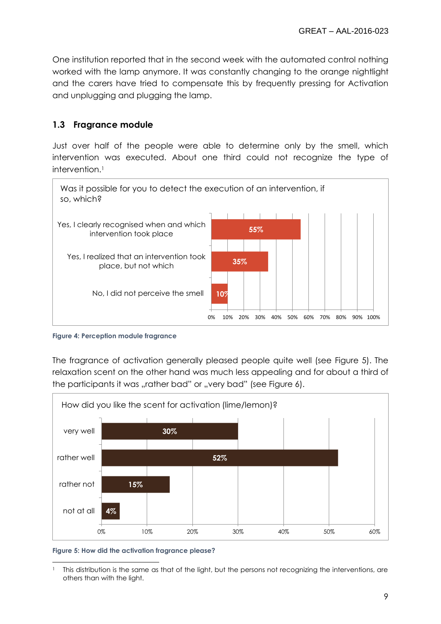One institution reported that in the second week with the automated control nothing worked with the lamp anymore. It was constantly changing to the orange nightlight and the carers have tried to compensate this by frequently pressing for Activation and unplugging and plugging the lamp.

## <span id="page-8-0"></span>**1.3 Fragrance module**

Just over half of the people were able to determine only by the smell, which intervention was executed. About one third could not recognize the type of intervention.<sup>1</sup>



<span id="page-8-2"></span>**Figure 4: Perception module fragrance**

The fragrance of activation generally pleased people quite well (see [Figure 5\)](#page-8-1). The relaxation scent on the other hand was much less appealing and for about a third of the participants it was "rather bad" or "very bad" (see [Figure 6\)](#page-9-0).



<span id="page-8-1"></span>**Figure 5: How did the activation fragrance please?**

 $\overline{a}$ <sup>1</sup> This distribution is the same as that of the light, but the persons not recognizing the interventions, are others than with the light.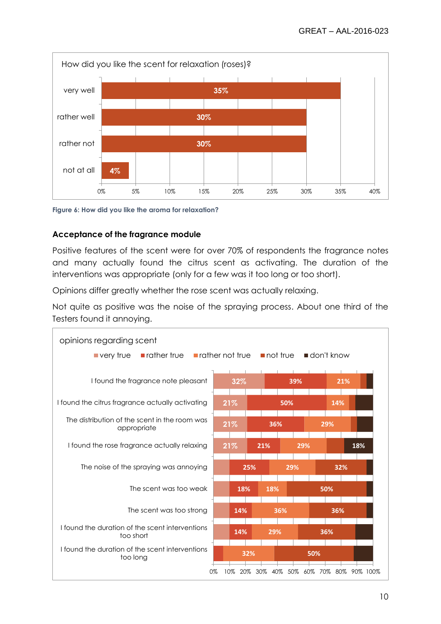

<span id="page-9-0"></span>**Figure 6: How did you like the aroma for relaxation?**

#### **Acceptance of the fragrance module**

Positive features of the scent were for over 70% of respondents the fragrance notes and many actually found the citrus scent as activating. The duration of the interventions was appropriate (only for a few was it too long or too short).

Opinions differ greatly whether the rose scent was actually relaxing.

Not quite as positive was the noise of the spraying process. About one third of the Testers found it annoying.

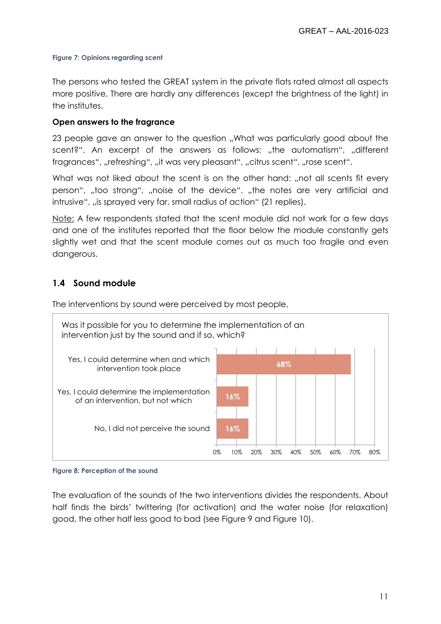#### <span id="page-10-1"></span>**Figure 7: Opinions regarding scent**

The persons who tested the GREAT system in the private flats rated almost all aspects more positive. There are hardly any differences (except the brightness of the light) in the institutes.

#### **Open answers to the fragrance**

23 people gave an answer to the question "What was particularly good about the scent?". An excerpt of the answers as follows: "the automatism", "different fragrances", "refreshing", "it was very pleasant", "citrus scent", "rose scent".

What was not liked about the scent is on the other hand: "not all scents fit every person", "too strong", "noise of the device", "the notes are very artificial and intrusive", "is sprayed very far, small radius of action" (21 replies).

Note: A few respondents stated that the scent module did not work for a few days and one of the institutes reported that the floor below the module constantly gets slightly wet and that the scent module comes out as much too fragile and even dangerous.

### <span id="page-10-0"></span>**1.4 Sound module**

The interventions by sound were perceived by most people.



<span id="page-10-2"></span>**Figure 8: Perception of the sound**

The evaluation of the sounds of the two interventions divides the respondents. About half finds the birds' twittering (for activation) and the water noise (for relaxation) good, the other half less good to bad (see [Figure 9](#page-11-0) and [Figure 10\)](#page-11-1).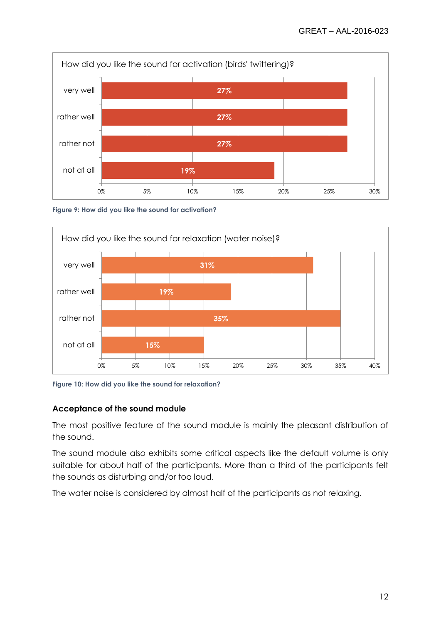

<span id="page-11-0"></span>**Figure 9: How did you like the sound for activation?**



<span id="page-11-1"></span>**Figure 10: How did you like the sound for relaxation?**

### **Acceptance of the sound module**

The most positive feature of the sound module is mainly the pleasant distribution of the sound.

The sound module also exhibits some critical aspects like the default volume is only suitable for about half of the participants. More than a third of the participants felt the sounds as disturbing and/or too loud.

The water noise is considered by almost half of the participants as not relaxing.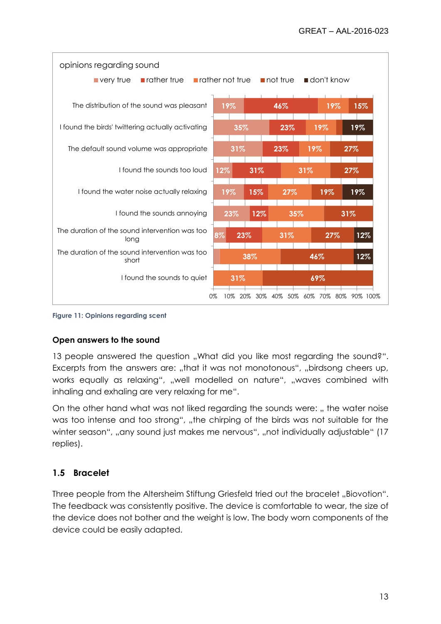

<span id="page-12-1"></span>

#### **Open answers to the sound**

13 people answered the question "What did you like most regarding the sound?". Excerpts from the answers are: "that it was not monotonous", "birdsong cheers up, works equally as relaxing", "well modelled on nature", "waves combined with inhaling and exhaling are very relaxing for me".

On the other hand what was not liked regarding the sounds were: ,, the water noise was too intense and too strong", "the chirping of the birds was not suitable for the winter season", "any sound just makes me nervous", "not individually adjustable" (17 replies).

## <span id="page-12-0"></span>**1.5 Bracelet**

Three people from the Altersheim Stiftung Griesfeld tried out the bracelet "Biovotion". The feedback was consistently positive. The device is comfortable to wear, the size of the device does not bother and the weight is low. The body worn components of the device could be easily adapted.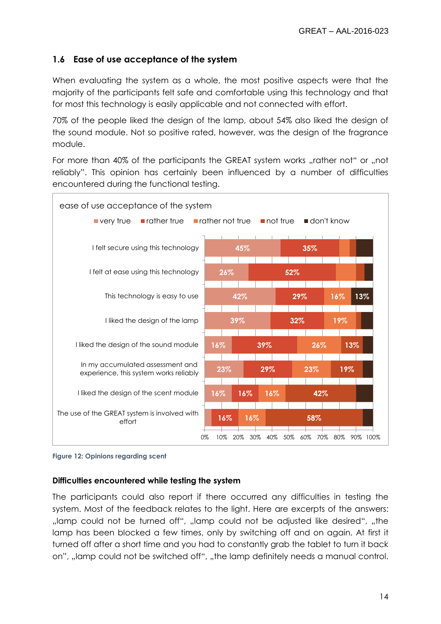## <span id="page-13-0"></span>**1.6 Ease of use acceptance of the system**

When evaluating the system as a whole, the most positive aspects were that the majority of the participants felt safe and comfortable using this technology and that for most this technology is easily applicable and not connected with effort.

70% of the people liked the design of the lamp, about 54% also liked the design of the sound module. Not so positive rated, however, was the design of the fragrance module.

For more than 40% of the participants the GREAT system works "rather not" or "not reliably". This opinion has certainly been influenced by a number of difficulties encountered during the functional testing.



#### <span id="page-13-1"></span>**Figure 12: Opinions regarding scent**

#### **Difficulties encountered while testing the system**

The participants could also report if there occurred any difficulties in testing the system. Most of the feedback relates to the light. Here are excerpts of the answers: , lamp could not be turned off", "lamp could not be adjusted like desired", "the lamp has been blocked a few times, only by switching off and on again. At first it turned off after a short time and you had to constantly grab the tablet to turn it back on", "lamp could not be switched off", "the lamp definitely needs a manual control.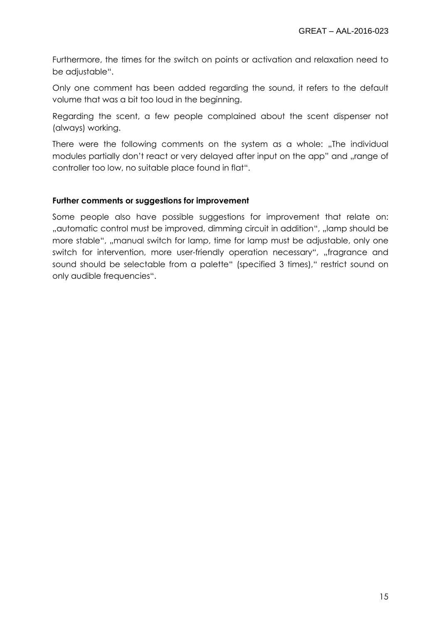Furthermore, the times for the switch on points or activation and relaxation need to be adjustable".

Only one comment has been added regarding the sound, it refers to the default volume that was a bit too loud in the beginning.

Regarding the scent, a few people complained about the scent dispenser not (always) working.

There were the following comments on the system as a whole: "The individual modules partially don't react or very delayed after input on the app" and "range of controller too low, no suitable place found in flat".

#### **Further comments or suggestions for improvement**

Some people also have possible suggestions for improvement that relate on: ", automatic control must be improved, dimming circuit in addition", "lamp should be more stable", "manual switch for lamp, time for lamp must be adjustable, only one switch for intervention, more user-friendly operation necessary", "fragrance and sound should be selectable from a palette" (specified 3 times)," restrict sound on only audible frequencies".